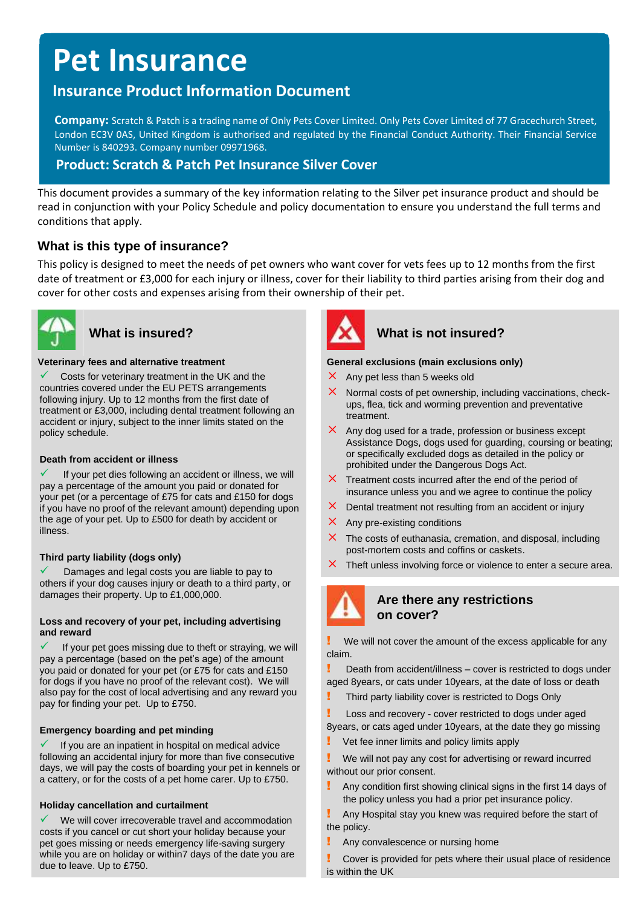# **Pet Insurance**

# **Insurance Product Information Document**

**Company:** Scratch & Patch is a trading name of Only Pets Cover Limited. Only Pets Cover Limited of 77 Gracechurch Street, London EC3V 0AS, United Kingdom is authorised and regulated by the Financial Conduct Authority. Their Financial Service Number is 840293. Company number 09971968.

# **Product: Scratch & Patch Pet Insurance Silver Cover**

This document provides a summary of the key information relating to the Silver pet insurance product and should be read in conjunction with your Policy Schedule and policy documentation to ensure you understand the full terms and conditions that apply.

# **What is this type of insurance?**

This policy is designed to meet the needs of pet owners who want cover for vets fees up to 12 months from the first date of treatment or £3,000 for each injury or illness, cover for their liability to third parties arising from their dog and cover for other costs and expenses arising from their ownership of their pet.



#### **Veterinary fees and alternative treatment**

Costs for veterinary treatment in the UK and the countries covered under the EU PETS arrangements following injury. Up to 12 months from the first date of treatment or £3,000, including dental treatment following an accident or injury, subject to the inner limits stated on the policy schedule.

#### **Death from accident or illness**

If your pet dies following an accident or illness, we will pay a percentage of the amount you paid or donated for your pet (or a percentage of £75 for cats and £150 for dogs if you have no proof of the relevant amount) depending upon the age of your pet. Up to £500 for death by accident or illness.

#### **Third party liability (dogs only)**

Damages and legal costs you are liable to pay to others if your dog causes injury or death to a third party, or damages their property. Up to £1,000,000.

#### **Loss and recovery of your pet, including advertising and reward**

If your pet goes missing due to theft or straying, we will pay a percentage (based on the pet's age) of the amount you paid or donated for your pet (or £75 for cats and £150 for dogs if you have no proof of the relevant cost). We will also pay for the cost of local advertising and any reward you pay for finding your pet. Up to £750.

#### **Emergency boarding and pet minding**

If you are an inpatient in hospital on medical advice following an accidental injury for more than five consecutive days, we will pay the costs of boarding your pet in kennels or a cattery, or for the costs of a pet home carer. Up to £750.

#### **Holiday cancellation and curtailment**

We will cover irrecoverable travel and accommodation costs if you cancel or cut short your holiday because your pet goes missing or needs emergency life-saving surgery while you are on holiday or within7 days of the date you are due to leave. Up to £750.



# What is insured? What is not insured?

#### **General exclusions (main exclusions only)**

- $\times$  Any pet less than 5 weeks old
- Normal costs of pet ownership, including vaccinations, checkups, flea, tick and worming prevention and preventative treatment.
- $\times$  Any dog used for a trade, profession or business except Assistance Dogs, dogs used for guarding, coursing or beating; or specifically excluded dogs as detailed in the policy or prohibited under the Dangerous Dogs Act.
- $\times$  Treatment costs incurred after the end of the period of insurance unless you and we agree to continue the policy
- $\times$  Dental treatment not resulting from an accident or injury
- $\times$  Any pre-existing conditions
- $\times$  The costs of euthanasia, cremation, and disposal, including post-mortem costs and coffins or caskets.
- $\times$  Theft unless involving force or violence to enter a secure area.



### **Are there any restrictions on cover?**

We will not cover the amount of the excess applicable for any claim.

**Part From accident/illness** – cover is restricted to dogs under aged 8years, or cats under 10years, at the date of loss or death

- Third party liability cover is restricted to Dogs Only
- Loss and recovery cover restricted to dogs under aged 8years, or cats aged under 10years, at the date they go missing
- Vet fee inner limits and policy limits apply

We will not pay any cost for advertising or reward incurred without our prior consent.

! Any condition first showing clinical signs in the first 14 days of the policy unless you had a prior pet insurance policy.

! Any Hospital stay you knew was required before the start of the policy.

**E** Any convalescence or nursing home

! Cover is provided for pets where their usual place of residence is within the UK